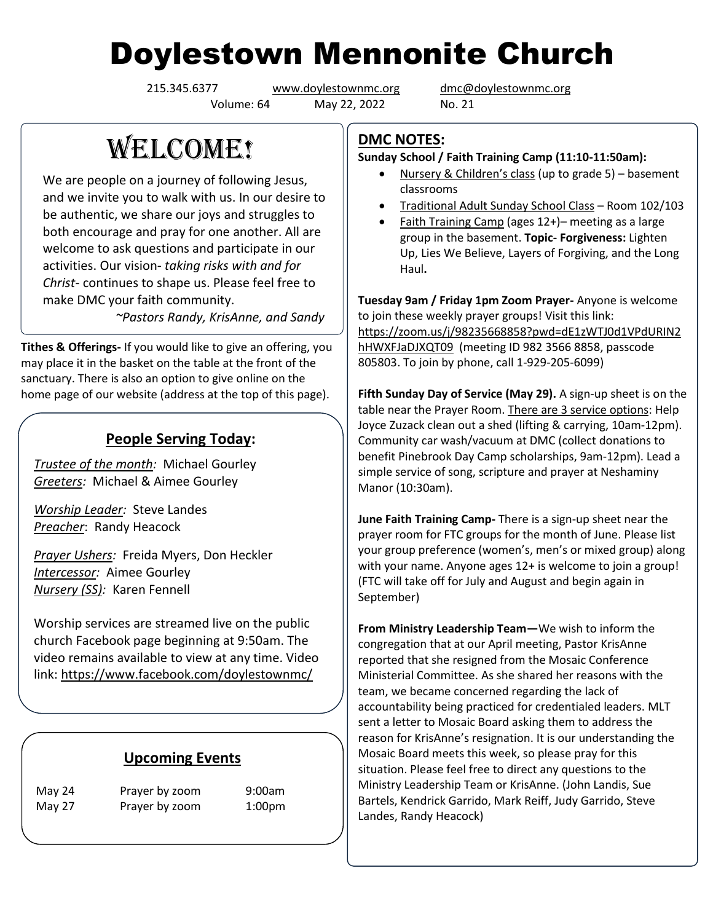## Doylestown Mennonite Church

Volume: 64 May 22, 2022 No. 21

215.345.6377 [www.doylestownmc.org](http://www.doylestownmc.org/) [dmc@doylestownmc.org](mailto:dmc@doylestownmc.org)

## **WELCOME!**

We are people on a journey of following Jesus, and we invite you to walk with us. In our desire to be authentic, we share our joys and struggles to both encourage and pray for one another. All are welcome to ask questions and participate in our activities. Our vision- *taking risks with and for Christ*- continues to shape us. Please feel free to make DMC your faith community.

 *~Pastors Randy, KrisAnne, and Sandy*

**Tithes & Offerings-** If you would like to give an offering, you may place it in the basket on the table at the front of the sanctuary. There is also an option to give online on the home page of our website (address at the top of this page).

## **People Serving Today:**

*Trustee of the month:* Michael Gourley *Greeters:* Michael & Aimee Gourley

*Worship Leader:* Steve Landes *Preacher*: Randy Heacock

*Prayer Ushers:* Freida Myers, Don Heckler *Intercessor:* Aimee Gourley *Nursery (SS):* Karen Fennell

Worship services are streamed live on the public church Facebook page beginning at 9:50am. The video remains available to view at any time. Video link: <https://www.facebook.com/doylestownmc/>

## **Upcoming Events**

May 24 Prayer by zoom 9:00am May 27 Prayer by zoom 1:00pm **DMC NOTES:**

**Sunday School / Faith Training Camp (11:10-11:50am):**

- Nursery & Children's class (up to grade 5) basement classrooms
- Traditional Adult Sunday School Class Room 102/103
- Faith Training Camp (ages 12+)– meeting as a large group in the basement. **Topic- Forgiveness:** Lighten Up, Lies We Believe, Layers of Forgiving, and the Long Haul**.**

**Tuesday 9am / Friday 1pm Zoom Prayer-** Anyone is welcome to join these weekly prayer groups! Visit this link: [https://zoom.us/j/98235668858?pwd=dE1zWTJ0d1VPdURIN2](https://zoom.us/j/98235668858?pwd=dE1zWTJ0d1VPdURIN2hHWXFJaDJXQT09) [hHWXFJaDJXQT09](https://zoom.us/j/98235668858?pwd=dE1zWTJ0d1VPdURIN2hHWXFJaDJXQT09) (meeting ID 982 3566 8858, passcode 805803. To join by phone, call 1-929-205-6099)

**Fifth Sunday Day of Service (May 29).** A sign-up sheet is on the table near the Prayer Room. There are 3 service options: Help Joyce Zuzack clean out a shed (lifting & carrying, 10am-12pm). Community car wash/vacuum at DMC (collect donations to benefit Pinebrook Day Camp scholarships, 9am-12pm). Lead a simple service of song, scripture and prayer at Neshaminy Manor (10:30am).

**June Faith Training Camp-** There is a sign-up sheet near the prayer room for FTC groups for the month of June. Please list your group preference (women's, men's or mixed group) along with your name. Anyone ages 12+ is welcome to join a group! (FTC will take off for July and August and begin again in September)

**From Ministry Leadership Team—**We wish to inform the congregation that at our April meeting, Pastor KrisAnne reported that she resigned from the Mosaic Conference Ministerial Committee. As she shared her reasons with the team, we became concerned regarding the lack of accountability being practiced for credentialed leaders. MLT sent a letter to Mosaic Board asking them to address the reason for KrisAnne's resignation. It is our understanding the Mosaic Board meets this week, so please pray for this situation. Please feel free to direct any questions to the Ministry Leadership Team or KrisAnne. (John Landis, Sue Bartels, Kendrick Garrido, Mark Reiff, Judy Garrido, Steve Landes, Randy Heacock)